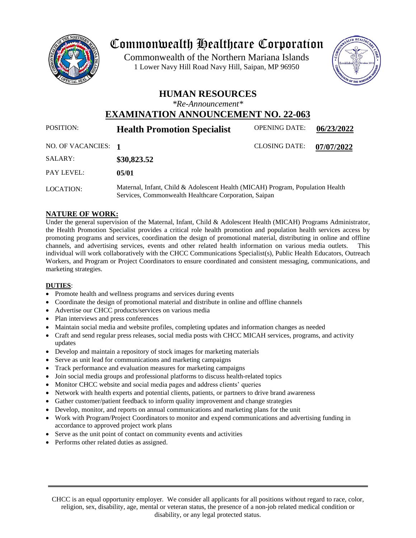

# Commonwealth Healthcare Corporation

 1 Lower Navy Hill Road Navy Hill, Saipan, MP 96950Commonwealth of the Northern Mariana Islands



### **HUMAN RESOURCES**

*\*Re-Announcement\**

## **EXAMINATION ANNOUNCEMENT NO. 22-063**

| <b>POSITION:</b>    | <b>Health Promotion Specialist</b>                                                                                                      | <b>OPENING DATE:</b> | 06/23/2022 |
|---------------------|-----------------------------------------------------------------------------------------------------------------------------------------|----------------------|------------|
| NO. OF VACANCIES: 1 |                                                                                                                                         | <b>CLOSING DATE:</b> | 07/07/2022 |
| SALARY:             | \$30,823.52                                                                                                                             |                      |            |
| PAY LEVEL:          | 05/01                                                                                                                                   |                      |            |
| LOCATION:           | Maternal, Infant, Child & Adolescent Health (MICAH) Program, Population Health<br>Services, Commonwealth Healthcare Corporation, Saipan |                      |            |

#### **NATURE OF WORK:**

Under the general supervision of the Maternal, Infant, Child & Adolescent Health (MICAH) Programs Administrator, the Health Promotion Specialist provides a critical role health promotion and population health services access by promoting programs and services, coordination the design of promotional material, distributing in online and offline channels, and advertising services, events and other related health information on various media outlets. This individual will work collaboratively with the CHCC Communications Specialist(s), Public Health Educators, Outreach Workers, and Program or Project Coordinators to ensure coordinated and consistent messaging, communications, and marketing strategies.

#### **DUTIES**:

- Promote health and wellness programs and services during events
- Coordinate the design of promotional material and distribute in online and offline channels
- Advertise our CHCC products/services on various media
- Plan interviews and press conferences
- Maintain social media and website profiles, completing updates and information changes as needed
- Craft and send regular press releases, social media posts with CHCC MICAH services, programs, and activity updates
- Develop and maintain a repository of stock images for marketing materials
- Serve as unit lead for communications and marketing campaigns
- Track performance and evaluation measures for marketing campaigns
- Join social media groups and professional platforms to discuss health-related topics
- Monitor CHCC website and social media pages and address clients' queries
- Network with health experts and potential clients, patients, or partners to drive brand awareness
- Gather customer/patient feedback to inform quality improvement and change strategies
- Develop, monitor, and reports on annual communications and marketing plans for the unit
- Work with Program/Project Coordinators to monitor and expend communications and advertising funding in accordance to approved project work plans
- Serve as the unit point of contact on community events and activities
- Performs other related duties as assigned.

CHCC is an equal opportunity employer. We consider all applicants for all positions without regard to race, color, religion, sex, disability, age, mental or veteran status, the presence of a non-job related medical condition or disability, or any legal protected status.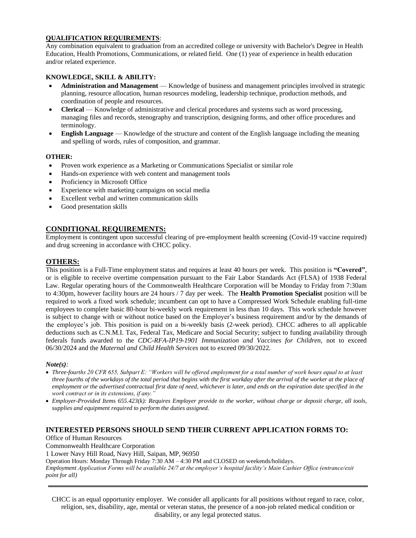#### **QUALIFICATION REQUIREMENTS**:

Any combination equivalent to graduation from an accredited college or university with Bachelor's Degree in Health Education, Health Promotions, Communications, or related field. One (1) year of experience in health education and/or related experience.

#### **KNOWLEDGE, SKILL & ABILITY:**

- **Administration and Management** Knowledge of business and management principles involved in strategic planning, resource allocation, human resources modeling, leadership technique, production methods, and coordination of people and resources.
- **Clerical** Knowledge of administrative and clerical procedures and systems such as word processing, managing files and records, stenography and transcription, designing forms, and other office procedures and terminology.
- **English Language** Knowledge of the structure and content of the English language including the meaning and spelling of words, rules of composition, and grammar.

#### **OTHER:**

- Proven work experience as a Marketing or Communications Specialist or similar role
- Hands-on experience with web content and management tools
- Proficiency in Microsoft Office
- Experience with marketing campaigns on social media
- Excellent verbal and written communication skills
- Good presentation skills

#### **CONDITIONAL REQUIREMENTS:**

Employment is contingent upon successful clearing of pre-employment health screening (Covid-19 vaccine required) and drug screening in accordance with CHCC policy.

#### **OTHERS:**

This position is a Full-Time employment status and requires at least 40 hours per week. This position is **"Covered"**, or is eligible to receive overtime compensation pursuant to the Fair Labor Standards Act (FLSA) of 1938 Federal Law. Regular operating hours of the Commonwealth Healthcare Corporation will be Monday to Friday from 7:30am to 4:30pm, however facility hours are 24 hours / 7 day per week. The **Health Promotion Specialist** position will be required to work a fixed work schedule; incumbent can opt to have a Compressed Work Schedule enabling full-time employees to complete basic 80-hour bi-weekly work requirement in less than 10 days. This work schedule however is subject to change with or without notice based on the Employer's business requirement and/or by the demands of the employee's job. This position is paid on a bi-weekly basis (2-week period). CHCC adheres to all applicable deductions such as C.N.M.I. Tax, Federal Tax, Medicare and Social Security; subject to funding availability through federals funds awarded to the *CDC-RFA-IP19-1901 Immunization and Vaccines for Children,* not to exceed 06/30/2024 and the *Maternal and Child Health Services* not to exceed 09/30/2022.

#### *Note(s):*

- *Three-fourths 20 CFR 655, Subpart E: "Workers will be offered employment for a total number of work hours equal to at least three fourths of the workdays of the total period that begins with the first workday after the arrival of the worker at the place of*  employment or the advertised contractual first date of need, whichever is later, and ends on the expiration date specified in the *work contract or in its extensions, if any."*
- *Employer-Provided Items 655.423(k): Requires Employer provide to the worker, without charge or deposit charge, all tools, supplies and equipment required to perform the duties assigned.*

#### **INTERESTED PERSONS SHOULD SEND THEIR CURRENT APPLICATION FORMS TO:**

Office of Human Resources

Commonwealth Healthcare Corporation

1 Lower Navy Hill Road, Navy Hill, Saipan, MP, 96950

Operation Hours: Monday Through Friday 7:30 AM – 4:30 PM and CLOSED on weekends/holidays.

*Employment Application Forms will be available 24/7 at the employer's hospital facility's Main Cashier Office (entrance/exit point for all)*

CHCC is an equal opportunity employer. We consider all applicants for all positions without regard to race, color, religion, sex, disability, age, mental or veteran status, the presence of a non-job related medical condition or disability, or any legal protected status.